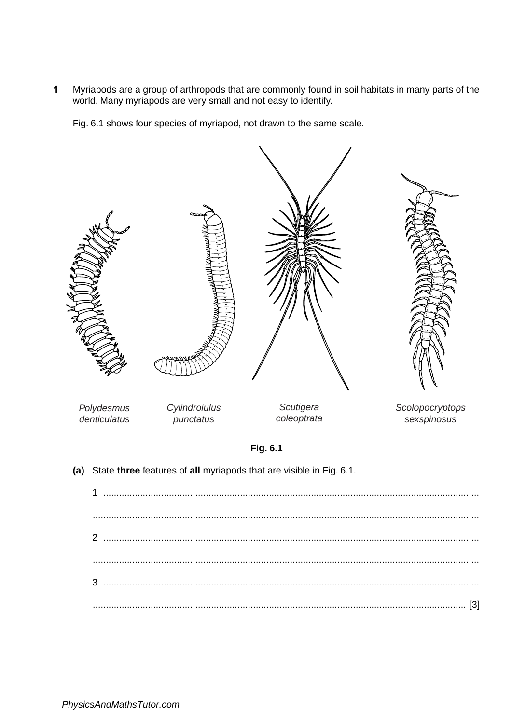Myriapods are a group of arthropods that are commonly found in soil habitats in many parts of the  $\mathbf{1}$ world. Many myriapods are very small and not easy to identify.

Fig. 6.1 shows four species of myriapod, not drawn to the same scale.

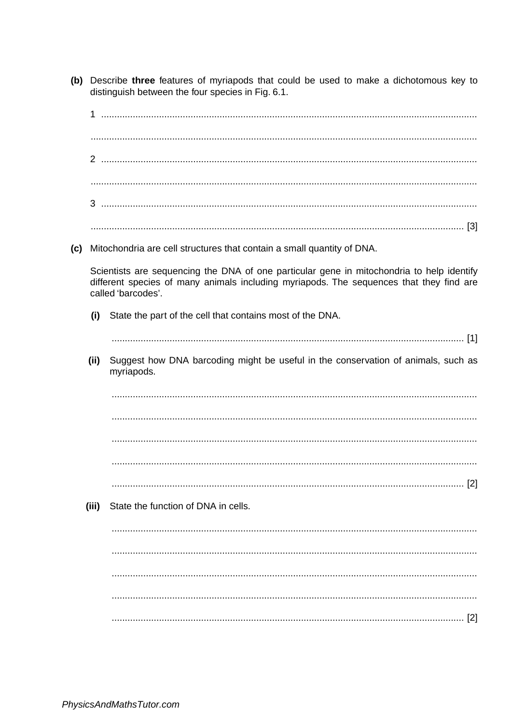- (b) Describe three features of myriapods that could be used to make a dichotomous key to distinguish between the four species in Fig. 6.1.
- $\mathcal{L} = \{x_1, x_2, \ldots, x_n, x_1, \ldots, x_n, \ldots, x_n, \ldots, x_n, \ldots, x_n, \ldots, x_n, \ldots, x_n, \ldots, x_n, \ldots, x_n, \ldots, x_n, \ldots, x_n, \ldots, x_n, \ldots, x_n, \ldots, x_n, \ldots, x_n, \ldots, x_n, \ldots, x_n, \ldots, x_n, \ldots, x_n, \ldots, x_n, \ldots, x_n, \ldots, x_n, \ldots, x_n, \ldots, x_n, \ldots, x_n, \ldots, x_n, \ldots, x_n, \ldots, x_n, \ldots$ (c) Mitochondria are cell structures that contain a small quantity of DNA. Scientists are sequencing the DNA of one particular gene in mitochondria to help identify different species of many animals including myriapods. The sequences that they find are called 'barcodes'. State the part of the cell that contains most of the DNA.  $(i)$ (ii) Suggest how DNA barcoding might be useful in the conservation of animals, such as myriapods. State the function of DNA in cells. (iii)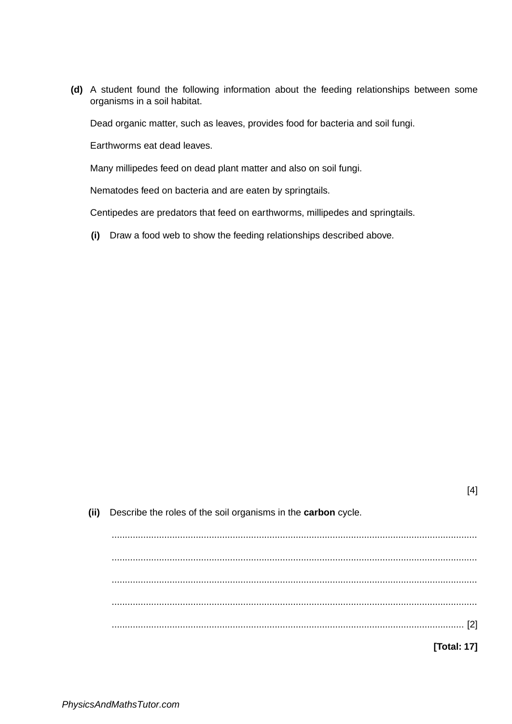**(d)** A student found the following information about the feeding relationships between some organisms in a soil habitat.

Dead organic matter, such as leaves, provides food for bacteria and soil fungi.

Earthworms eat dead leaves.

Many millipedes feed on dead plant matter and also on soil fungi.

Nematodes feed on bacteria and are eaten by springtails.

Centipedes are predators that feed on earthworms, millipedes and springtails.

**(i)** Draw a food web to show the feeding relationships described above.

| [4]                                                           |      |
|---------------------------------------------------------------|------|
| Describe the roles of the soil organisms in the carbon cycle. | (ii) |
|                                                               |      |
|                                                               |      |
|                                                               |      |
|                                                               |      |
|                                                               |      |
| [2]                                                           |      |
| $\cdots$                                                      |      |
| [Total: 17]                                                   |      |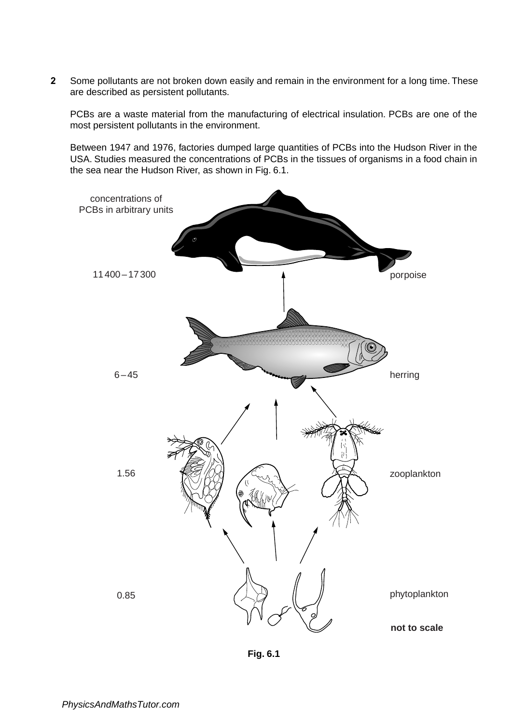**2** Some pollutants are not broken down easily and remain in the environment for a long time. These are described as persistent pollutants.

PCBs are a waste material from the manufacturing of electrical insulation. PCBs are one of the most persistent pollutants in the environment.

Between 1947 and 1976, factories dumped large quantities of PCBs into the Hudson River in the USA. Studies measured the concentrations of PCBs in the tissues of organisms in a food chain in the sea near the Hudson River, as shown in Fig. 6.1.



**Fig. 6.1**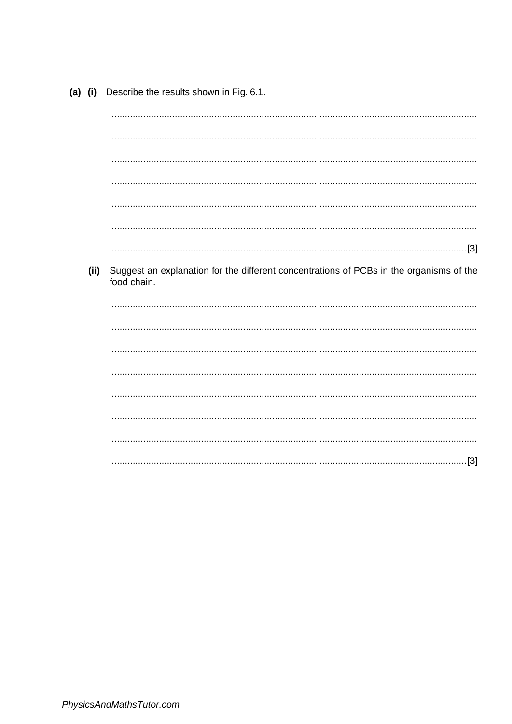(a) (i) Describe the results shown in Fig. 6.1.

(ii) Suggest an explanation for the different concentrations of PCBs in the organisms of the food chain.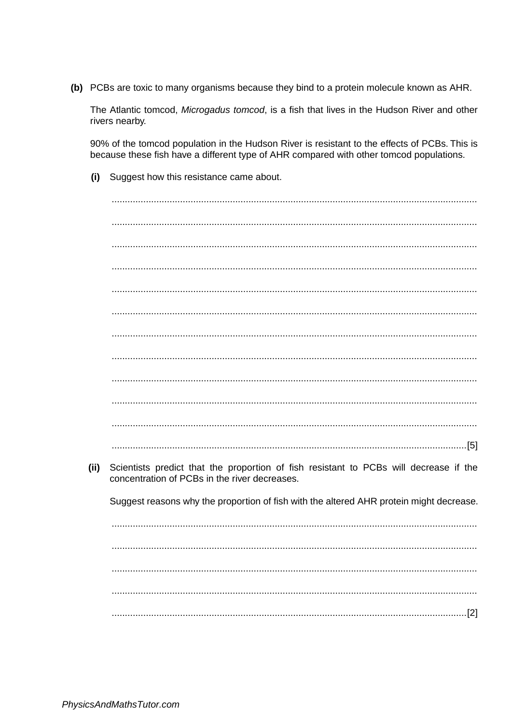(b) PCBs are toxic to many organisms because they bind to a protein molecule known as AHR.

The Atlantic tomcod, Microgadus tomcod, is a fish that lives in the Hudson River and other rivers nearby.

90% of the tomcod population in the Hudson River is resistant to the effects of PCBs. This is because these fish have a different type of AHR compared with other tomcod populations.

| (ii) | Scientists predict that the proportion of fish resistant to PCBs will decrease if the<br>concentration of PCBs in the river decreases. |
|------|----------------------------------------------------------------------------------------------------------------------------------------|
|      | Suggest reasons why the proportion of fish with the altered AHR protein might decrease.                                                |
|      |                                                                                                                                        |
|      |                                                                                                                                        |
|      |                                                                                                                                        |
|      |                                                                                                                                        |
|      |                                                                                                                                        |

(i) Suggest how this resistance came about.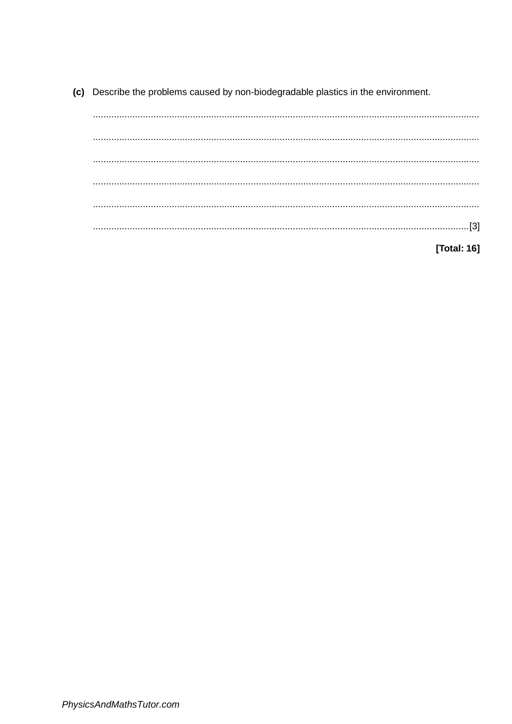(c) Describe the problems caused by non-biodegradable plastics in the environment.

[Total: 16]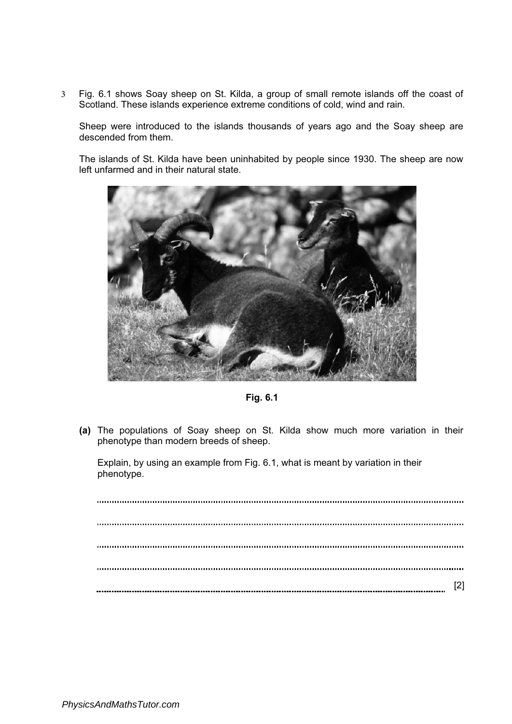3 Fig. 6.1 shows Soay sheep on St. Kilda, a group of small remote islands off the coast of Scotland. These islands experience extreme conditions of cold, wind and rain.

Sheep were introduced to the islands thousands of years ago and the Soay sheep are descended from them.

The islands of St. Kilda have been uninhabited by people since 1930. The sheep are now left unfarmed and in their natural state.



Fig. 6.1

(a) The populations of Soay sheep on St. Kilda show much more variation in their phenotype than modern breeds of sheep.

Explain, by using an example from Fig. 6.1, what is meant by variation in their phenotype.

[2]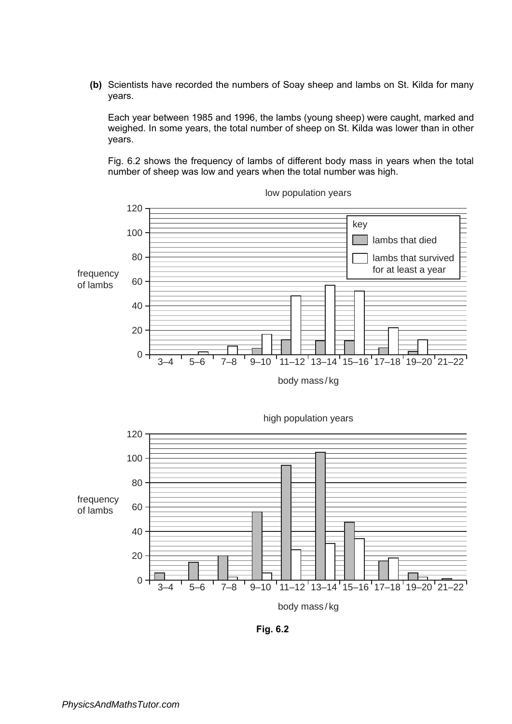(b) Scientists have recorded the numbers of Soay sheep and lambs on St. Kilda for many years.

Each year between 1985 and 1996, the lambs (young sheep) were caught, marked and weighed. In some years, the total number of sheep on St. Kilda was lower than in other years.

Fig. 6.2 shows the frequency of lambs of different body mass in years when the total number of sheep was low and years when the total number was high.



low population years



Fig. 6.2